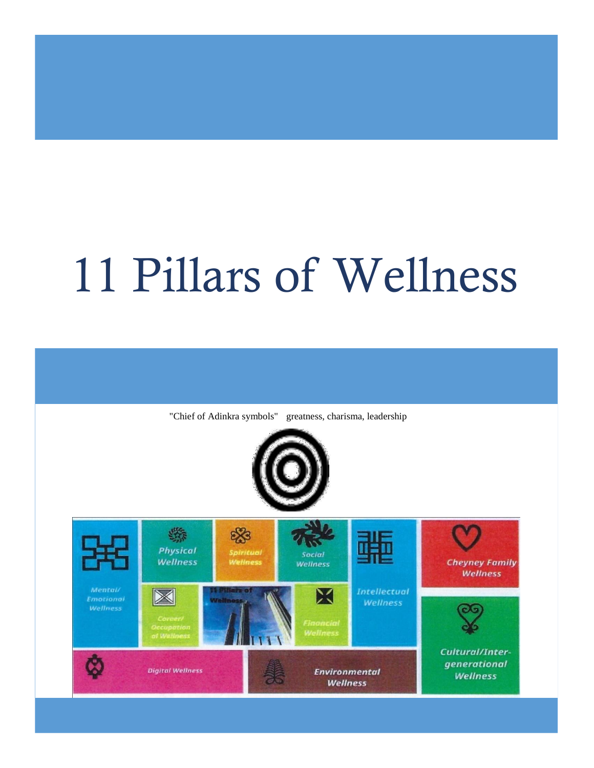# 11 Pillars of Wellness

"Chief of Adinkra symbols" greatness, charisma, leadership



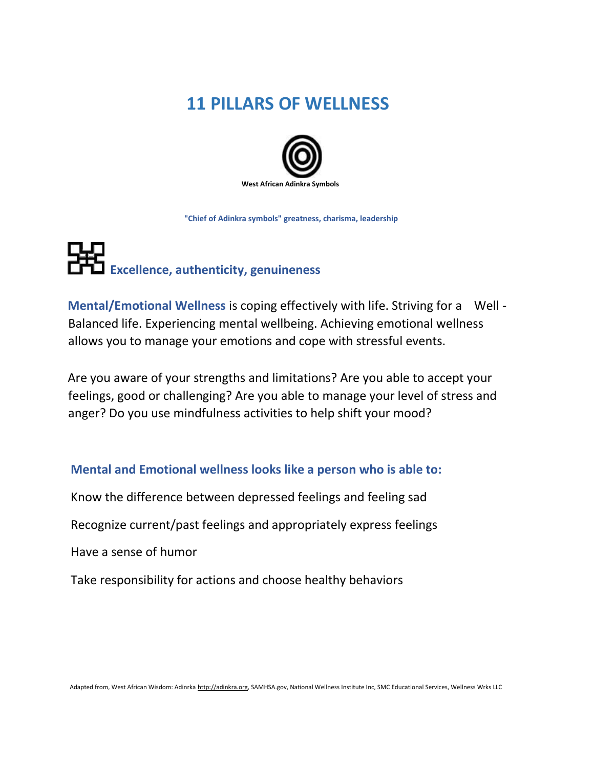### **11 PILLARS OF WELLNESS**



 **"Chief of Adinkra symbols" greatness, charisma, leadership** 

### **EXCO** Excellence, authenticity, genuineness

**Mental/Emotional Wellness** is coping effectively with life. Striving for a Well - Balanced life. Experiencing mental wellbeing. Achieving emotional wellness allows you to manage your emotions and cope with stressful events.

Are you aware of your strengths and limitations? Are you able to accept your feelings, good or challenging? Are you able to manage your level of stress and anger? Do you use mindfulness activities to help shift your mood?

#### **Mental and Emotional wellness looks like a person who is able to:**

Know the difference between depressed feelings and feeling sad

Recognize current/past feelings and appropriately express feelings

Have a sense of humor

Take responsibility for actions and choose healthy behaviors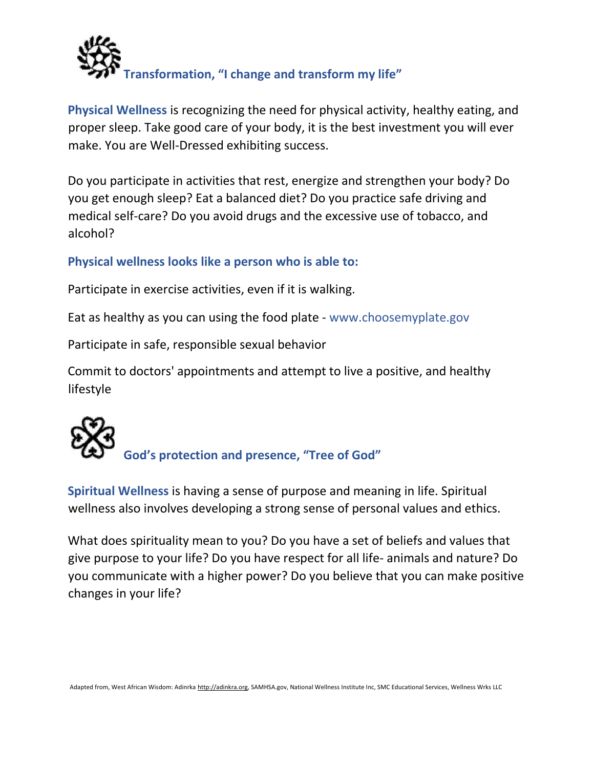

**Physical Wellness** is recognizing the need for physical activity, healthy eating, and proper sleep. Take good care of your body, it is the best investment you will ever make. You are Well-Dressed exhibiting success.

Do you participate in activities that rest, energize and strengthen your body? Do you get enough sleep? Eat a balanced diet? Do you practice safe driving and medical self-care? Do you avoid drugs and the excessive use of tobacco, and alcohol?

#### **Physical wellness looks like a person who is able to:**

Participate in exercise activities, even if it is walking.

Eat as healthy as you can using the food plate - www.choosemyplate.gov

Participate in safe, responsible sexual behavior

Commit to doctors' appointments and attempt to live a positive, and healthy lifestyle



 **God's protection and presence, "Tree of God"** 

**Spiritual Wellness** is having a sense of purpose and meaning in life. Spiritual wellness also involves developing a strong sense of personal values and ethics.

What does spirituality mean to you? Do you have a set of beliefs and values that give purpose to your life? Do you have respect for all life- animals and nature? Do you communicate with a higher power? Do you believe that you can make positive changes in your life?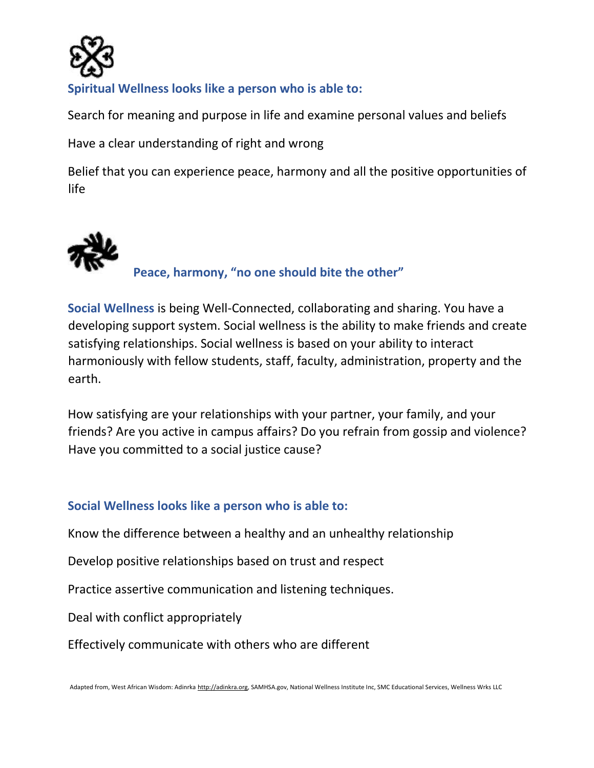

#### **Spiritual Wellness looks like a person who is able to:**

Search for meaning and purpose in life and examine personal values and beliefs

Have a clear understanding of right and wrong

Belief that you can experience peace, harmony and all the positive opportunities of life



**Social Wellness** is being Well-Connected, collaborating and sharing. You have a developing support system. Social wellness is the ability to make friends and create satisfying relationships. Social wellness is based on your ability to interact harmoniously with fellow students, staff, faculty, administration, property and the earth.

How satisfying are your relationships with your partner, your family, and your friends? Are you active in campus affairs? Do you refrain from gossip and violence? Have you committed to a social justice cause?

#### **Social Wellness looks like a person who is able to:**

Know the difference between a healthy and an unhealthy relationship

Develop positive relationships based on trust and respect

Practice assertive communication and listening techniques.

Deal with conflict appropriately

Effectively communicate with others who are different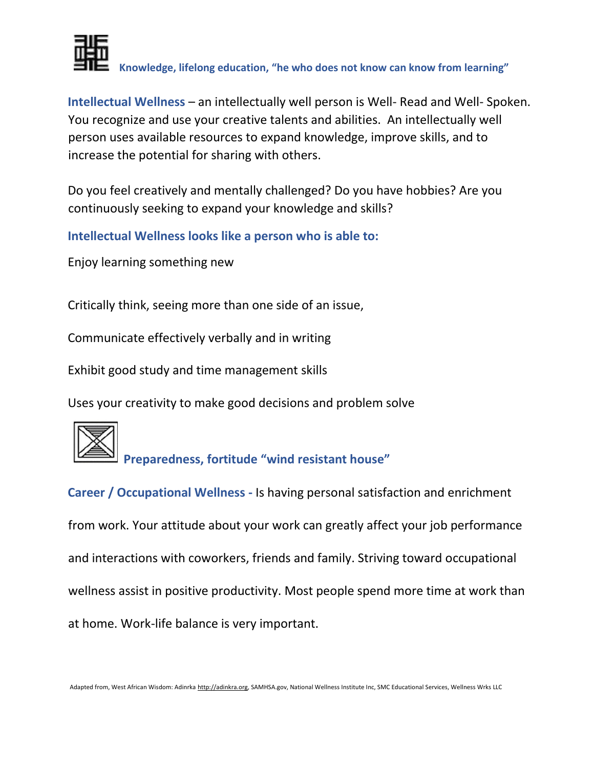

**Knowledge, lifelong education, "he who does not know can know from learning"** 

**Intellectual Wellness** – an intellectually well person is Well- Read and Well- Spoken. You recognize and use your creative talents and abilities. An intellectually well person uses available resources to expand knowledge, improve skills, and to increase the potential for sharing with others.

Do you feel creatively and mentally challenged? Do you have hobbies? Are you continuously seeking to expand your knowledge and skills?

**Intellectual Wellness looks like a person who is able to:** 

Enjoy learning something new

Critically think, seeing more than one side of an issue,

Communicate effectively verbally and in writing

Exhibit good study and time management skills

Uses your creativity to make good decisions and problem solve

**Preparedness, fortitude "wind resistant house"** 

**Career / Occupational Wellness -** Is having personal satisfaction and enrichment from work. Your attitude about your work can greatly affect your job performance and interactions with coworkers, friends and family. Striving toward occupational wellness assist in positive productivity. Most people spend more time at work than at home. Work-life balance is very important.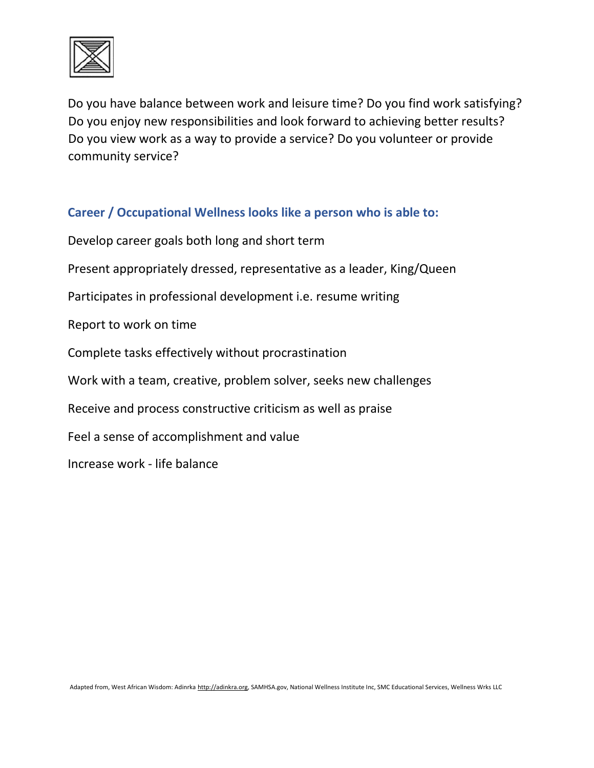

Do you have balance between work and leisure time? Do you find work satisfying? Do you enjoy new responsibilities and look forward to achieving better results? Do you view work as a way to provide a service? Do you volunteer or provide community service?

#### **Career / Occupational Wellness looks like a person who is able to:**

Develop career goals both long and short term Present appropriately dressed, representative as a leader, King/Queen Participates in professional development i.e. resume writing Report to work on time Complete tasks effectively without procrastination Work with a team, creative, problem solver, seeks new challenges Receive and process constructive criticism as well as praise Feel a sense of accomplishment and value

Increase work - life balance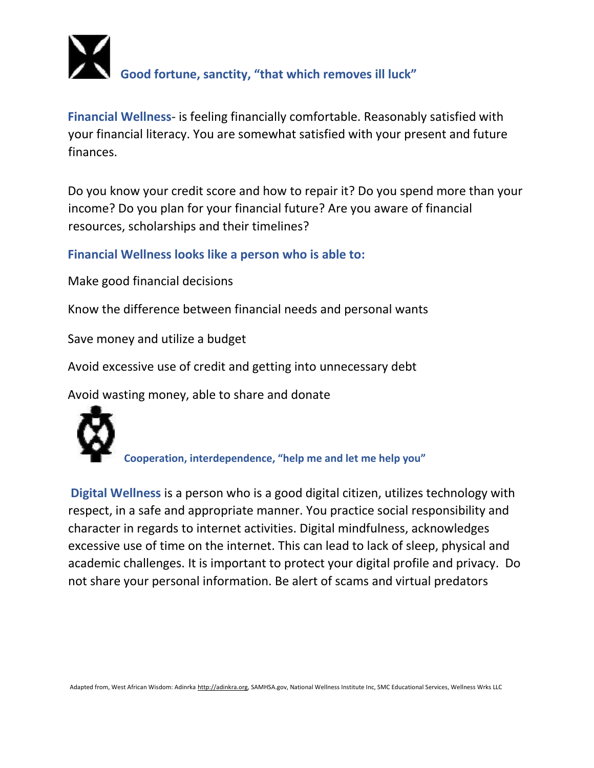

**Financial Wellness**- is feeling financially comfortable. Reasonably satisfied with your financial literacy. You are somewhat satisfied with your present and future finances.

Do you know your credit score and how to repair it? Do you spend more than your income? Do you plan for your financial future? Are you aware of financial resources, scholarships and their timelines?

**Financial Wellness looks like a person who is able to:**

Make good financial decisions

Know the difference between financial needs and personal wants

Save money and utilize a budget

Avoid excessive use of credit and getting into unnecessary debt

Avoid wasting money, able to share and donate



**Cooperation, interdependence, "help me and let me help you"**

**Digital Wellness** is a person who is a good digital citizen, utilizes technology with respect, in a safe and appropriate manner. You practice social responsibility and character in regards to internet activities. Digital mindfulness, acknowledges excessive use of time on the internet. This can lead to lack of sleep, physical and academic challenges. It is important to protect your digital profile and privacy. Do not share your personal information. Be alert of scams and virtual predators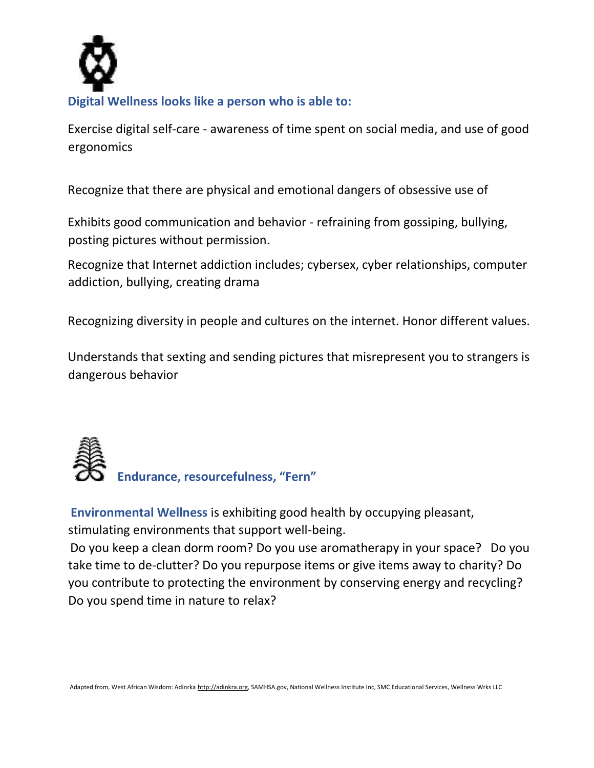

Exercise digital self-care - awareness of time spent on social media, and use of good ergonomics

Recognize that there are physical and emotional dangers of obsessive use of

Exhibits good communication and behavior - refraining from gossiping, bullying, posting pictures without permission.

Recognize that Internet addiction includes; cybersex, cyber relationships, computer addiction, bullying, creating drama

Recognizing diversity in people and cultures on the internet. Honor different values.

Understands that sexting and sending pictures that misrepresent you to strangers is dangerous behavior



**Endurance, resourcefulness, "Fern"** 

**Environmental Wellness** is exhibiting good health by occupying pleasant, stimulating environments that support well-being.

Do you keep a clean dorm room? Do you use aromatherapy in your space? Do you take time to de-clutter? Do you repurpose items or give items away to charity? Do you contribute to protecting the environment by conserving energy and recycling? Do you spend time in nature to relax?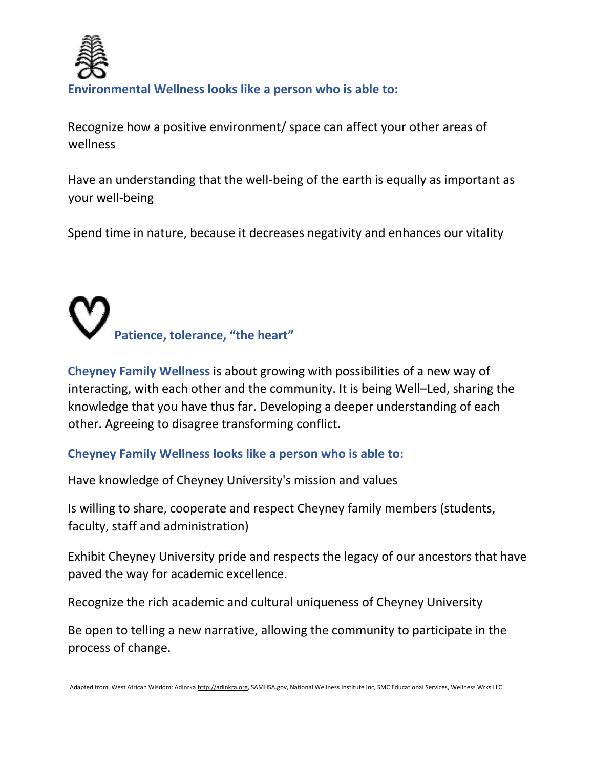

#### **Environmental Wellness looks like a person who is able to:**

Recognize how a positive environment/ space can affect your other areas of wellness

Have an understanding that the well-being of the earth is equally as important as your well-being

Spend time in nature, because it decreases negativity and enhances our vitality

# **Patience, tolerance, "the heart"**

**Cheyney Family Wellness** is about growing with possibilities of a new way of interacting, with each other and the community. It is being Well–Led, sharing the knowledge that you have thus far. Developing a deeper understanding of each other. Agreeing to disagree transforming conflict.

#### **Cheyney Family Wellness looks like a person who is able to:**

Have knowledge of Cheyney University's mission and values

Is willing to share, cooperate and respect Cheyney family members (students, faculty, staff and administration)

Exhibit Cheyney University pride and respects the legacy of our ancestors that have paved the way for academic excellence.

Recognize the rich academic and cultural uniqueness of Cheyney University

Be open to telling a new narrative, allowing the community to participate in the process of change.